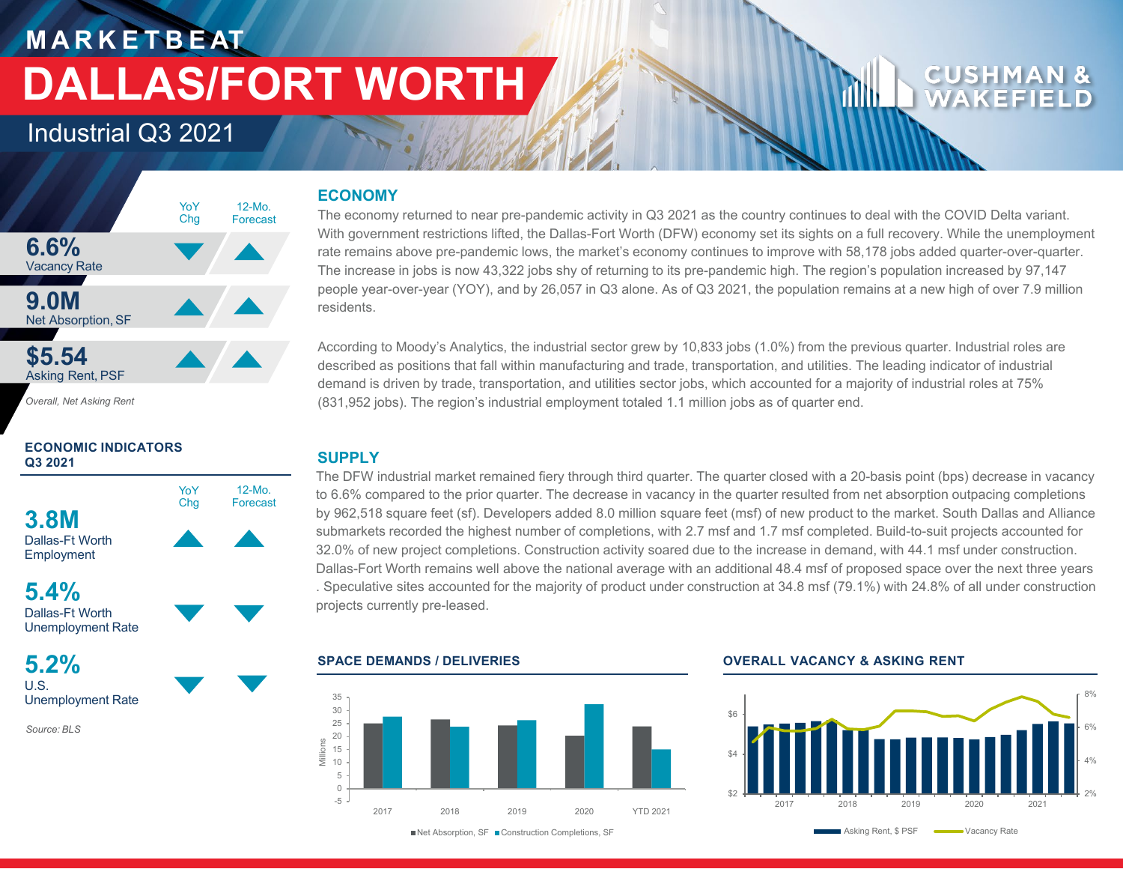## **M A R K E T B E AT DALLAS/FORT WORTH**

### Industrial Q3 2021



*Overall, Net Asking Rent*

#### **ECONOMIC INDICATORS Q3 2021**



**5.4%** Dallas-Ft Worth

Unemployment Rate **5.2%**

U.S. Unemployment Rate

*Source: BLS*

#### **ECONOMY**

The economy returned to near pre-pandemic activity in Q3 2021 as the country continues to deal with the COVID Delta variant. With government restrictions lifted, the Dallas-Fort Worth (DFW) economy set its sights on a full recovery. While the unemployment rate remains above pre-pandemic lows, the market's economy continues to improve with 58,178 jobs added quarter-over-quarter. The increase in jobs is now 43,322 jobs shy of returning to its pre-pandemic high. The region's population increased by 97,147 people year-over-year (YOY), and by 26,057 in Q3 alone. As of Q3 2021, the population remains at a new high of over 7.9 million residents.

According to Moody's Analytics, the industrial sector grew by 10,833 jobs (1.0%) from the previous quarter. Industrial roles are described as positions that fall within manufacturing and trade, transportation, and utilities. The leading indicator of industrial demand is driven by trade, transportation, and utilities sector jobs, which accounted for a majority of industrial roles at 75% (831,952 jobs). The region's industrial employment totaled 1.1 million jobs as of quarter end.

#### **SUPPLY**

The DFW industrial market remained fiery through third quarter. The quarter closed with a 20-basis point (bps) decrease in vacancy to 6.6% compared to the prior quarter. The decrease in vacancy in the quarter resulted from net absorption outpacing completions by 962,518 square feet (sf). Developers added 8.0 million square feet (msf) of new product to the market. South Dallas and Alliance submarkets recorded the highest number of completions, with 2.7 msf and 1.7 msf completed. Build-to-suit projects accounted for 32.0% of new project completions. Construction activity soared due to the increase in demand, with 44.1 msf under construction. Dallas-Fort Worth remains well above the national average with an additional 48.4 msf of proposed space over the next three years . Speculative sites accounted for the majority of product under construction at 34.8 msf (79.1%) with 24.8% of all under construction projects currently pre-leased.

#### -5 0 5 10 15 20 25 30 35 2017 2018 2019 2020 YTD 2021 Millions

#### **SPACE DEMANDS / DELIVERIES OVERALL VACANCY & ASKING RENT**



Net Absorption, SF Construction Completions, SF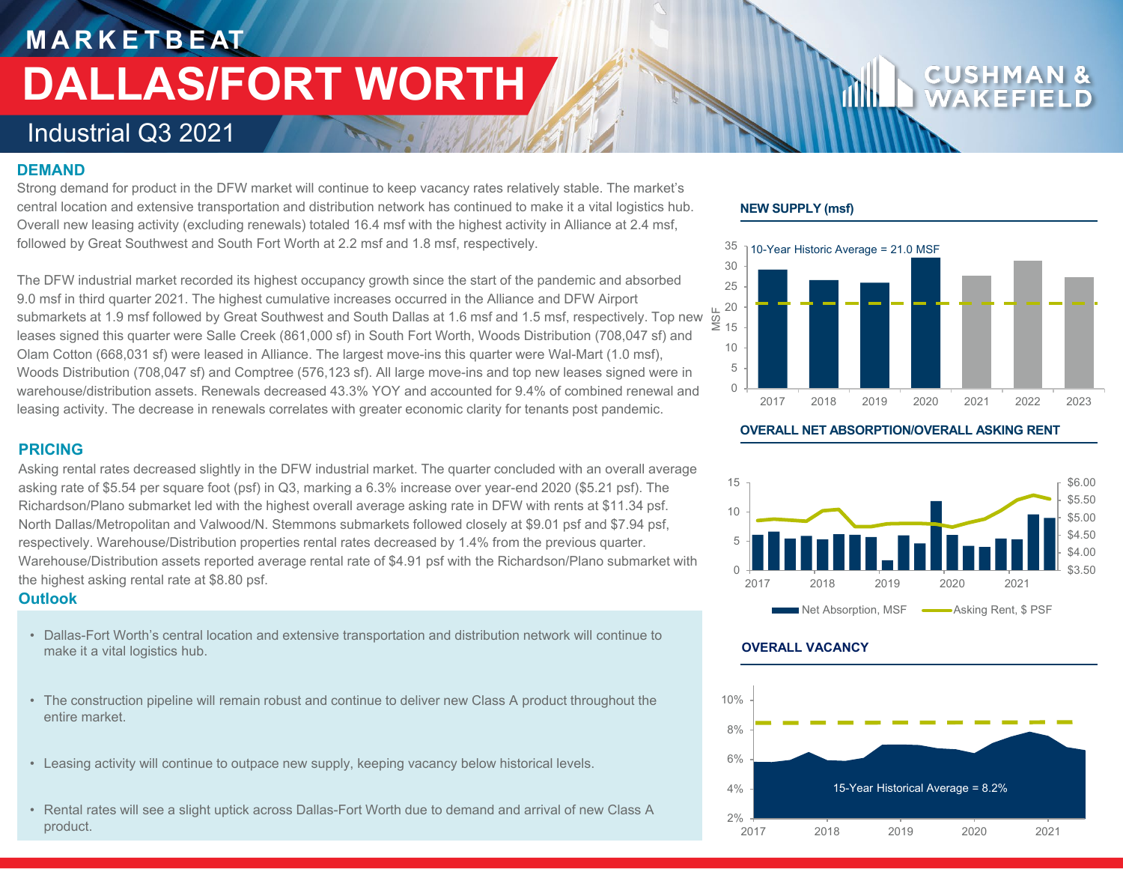# **M A R K E T B E AT DALLAS/FORT WORTH**

### Industrial Q3 2021

#### **DEMAND**

Strong demand for product in the DFW market will continue to keep vacancy rates relatively stable. The market's central location and extensive transportation and distribution network has continued to make it a vital logistics hub. Overall new leasing activity (excluding renewals) totaled 16.4 msf with the highest activity in Alliance at 2.4 msf, followed by Great Southwest and South Fort Worth at 2.2 msf and 1.8 msf, respectively.

The DFW industrial market recorded its highest occupancy growth since the start of the pandemic and absorbed 9.0 msf in third quarter 2021. The highest cumulative increases occurred in the Alliance and DFW Airport submarkets at 1.9 msf followed by Great Southwest and South Dallas at 1.6 msf and 1.5 msf, respectively. Top new leases signed this quarter were Salle Creek (861,000 sf) in South Fort Worth, Woods Distribution (708,047 sf) and Olam Cotton (668,031 sf) were leased in Alliance. The largest move-ins this quarter were Wal-Mart (1.0 msf), Woods Distribution (708,047 sf) and Comptree (576,123 sf). All large move-ins and top new leases signed were in warehouse/distribution assets. Renewals decreased 43.3% YOY and accounted for 9.4% of combined renewal and leasing activity. The decrease in renewals correlates with greater economic clarity for tenants post pandemic.

#### **PRICING**

Asking rental rates decreased slightly in the DFW industrial market. The quarter concluded with an overall average asking rate of \$5.54 per square foot (psf) in Q3, marking a 6.3% increase over year-end 2020 (\$5.21 psf). The Richardson/Plano submarket led with the highest overall average asking rate in DFW with rents at \$11.34 psf. North Dallas/Metropolitan and Valwood/N. Stemmons submarkets followed closely at \$9.01 psf and \$7.94 psf, respectively. Warehouse/Distribution properties rental rates decreased by 1.4% from the previous quarter. Warehouse/Distribution assets reported average rental rate of \$4.91 psf with the Richardson/Plano submarket with the highest asking rental rate at \$8.80 psf.

#### **Outlook**

- Dallas-Fort Worth's central location and extensive transportation and distribution network will continue to make it a vital logistics hub.
- The construction pipeline will remain robust and continue to deliver new Class A product throughout the entire market.
- Leasing activity will continue to outpace new supply, keeping vacancy below historical levels.
- Rental rates will see a slight uptick across Dallas-Fort Worth due to demand and arrival of new Class A product.

#### **NEW SUPPLY (msf)**



**OVERALL NET ABSORPTION/OVERALL ASKING RENT**



#### **OVERALL VACANCY**

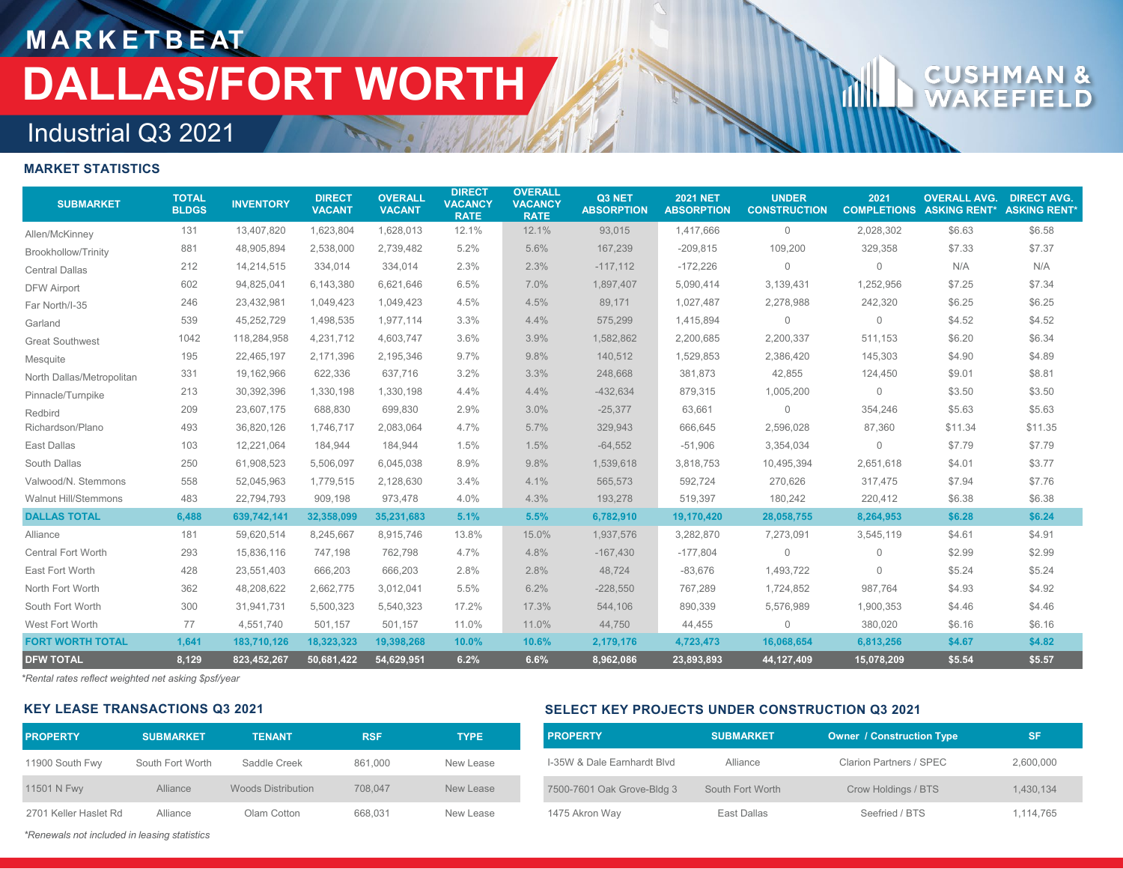## **M A R K E T B E AT DALLAS/FORT WORTH**

# CUSH

### Industrial Q3 2021

#### **MARKET STATISTICS**

| <b>SUBMARKET</b>            | <b>TOTAL</b><br><b>BLDGS</b> | <b>INVENTORY</b> | <b>DIRECT</b><br><b>VACANT</b> | <b>OVERALL</b><br><b>VACANT</b> | <b>DIRECT</b><br><b>VACANCY</b><br><b>RATE</b> | <b>OVERALL</b><br><b>VACANCY</b><br><b>RATE</b> | Q3 NET<br><b>ABSORPTION</b> | <b>2021 NET</b><br><b>ABSORPTION</b> | <b>UNDER</b><br><b>CONSTRUCTION</b> | 2021<br><b>COMPLETIONS</b> | <b>OVERALL AVG.</b><br><b>ASKING RENT*</b> | <b>DIRECT AVG.</b><br><b>ASKING RENT*</b> |
|-----------------------------|------------------------------|------------------|--------------------------------|---------------------------------|------------------------------------------------|-------------------------------------------------|-----------------------------|--------------------------------------|-------------------------------------|----------------------------|--------------------------------------------|-------------------------------------------|
| Allen/McKinney              | 131                          | 13,407,820       | 1,623,804                      | 1,628,013                       | 12.1%                                          | 12.1%                                           | 93,015                      | 1,417,666                            | $\mathbf 0$                         | 2,028,302                  | \$6.63                                     | \$6.58                                    |
| <b>Brookhollow/Trinity</b>  | 881                          | 48,905,894       | 2,538,000                      | 2,739,482                       | 5.2%                                           | 5.6%                                            | 167,239                     | $-209,815$                           | 109,200                             | 329,358                    | \$7.33                                     | \$7.37                                    |
| <b>Central Dallas</b>       | 212                          | 14,214,515       | 334,014                        | 334,014                         | 2.3%                                           | 2.3%                                            | $-117,112$                  | $-172,226$                           | $\mathbf 0$                         | $\mathbf{0}$               | N/A                                        | N/A                                       |
| <b>DFW Airport</b>          | 602                          | 94,825,041       | 6,143,380                      | 6,621,646                       | 6.5%                                           | 7.0%                                            | 1,897,407                   | 5,090,414                            | 3,139,431                           | 1,252,956                  | \$7.25                                     | \$7.34                                    |
| Far North/I-35              | 246                          | 23,432,981       | 1,049,423                      | 1,049,423                       | 4.5%                                           | 4.5%                                            | 89,171                      | 1,027,487                            | 2,278,988                           | 242,320                    | \$6.25                                     | \$6.25                                    |
| Garland                     | 539                          | 45,252,729       | 1.498.535                      | 1,977,114                       | 3.3%                                           | 4.4%                                            | 575,299                     | 1,415,894                            | $\mathbf 0$                         | $\mathbf 0$                | \$4.52                                     | \$4.52                                    |
| <b>Great Southwest</b>      | 1042                         | 118,284,958      | 4,231,712                      | 4,603,747                       | 3.6%                                           | 3.9%                                            | 1,582,862                   | 2,200,685                            | 2,200,337                           | 511,153                    | \$6.20                                     | \$6.34                                    |
| Mesquite                    | 195                          | 22,465,197       | 2,171,396                      | 2,195,346                       | 9.7%                                           | 9.8%                                            | 140,512                     | 1,529,853                            | 2,386,420                           | 145,303                    | \$4.90                                     | \$4.89                                    |
| North Dallas/Metropolitan   | 331                          | 19,162,966       | 622,336                        | 637,716                         | 3.2%                                           | 3.3%                                            | 248,668                     | 381,873                              | 42,855                              | 124,450                    | \$9.01                                     | \$8.81                                    |
| Pinnacle/Turnpike           | 213                          | 30,392,396       | 1,330,198                      | 1,330,198                       | 4.4%                                           | 4.4%                                            | $-432,634$                  | 879,315                              | 1,005,200                           | 0                          | \$3.50                                     | \$3.50                                    |
| Redbird                     | 209                          | 23,607,175       | 688,830                        | 699,830                         | 2.9%                                           | 3.0%                                            | $-25,377$                   | 63,661                               | $\Omega$                            | 354,246                    | \$5.63                                     | \$5.63                                    |
| Richardson/Plano            | 493                          | 36,820,126       | 1,746,717                      | 2,083,064                       | 4.7%                                           | 5.7%                                            | 329,943                     | 666,645                              | 2,596,028                           | 87,360                     | \$11.34                                    | \$11.35                                   |
| East Dallas                 | 103                          | 12,221,064       | 184,944                        | 184,944                         | 1.5%                                           | 1.5%                                            | $-64,552$                   | $-51,906$                            | 3,354,034                           | 0                          | \$7.79                                     | \$7.79                                    |
| South Dallas                | 250                          | 61,908,523       | 5,506,097                      | 6,045,038                       | 8.9%                                           | 9.8%                                            | 1,539,618                   | 3,818,753                            | 10,495,394                          | 2,651,618                  | \$4.01                                     | \$3.77                                    |
| Valwood/N. Stemmons         | 558                          | 52,045,963       | 1,779,515                      | 2,128,630                       | 3.4%                                           | 4.1%                                            | 565,573                     | 592,724                              | 270,626                             | 317,475                    | \$7.94                                     | \$7.76                                    |
| <b>Walnut Hill/Stemmons</b> | 483                          | 22,794,793       | 909,198                        | 973,478                         | 4.0%                                           | 4.3%                                            | 193,278                     | 519,397                              | 180,242                             | 220,412                    | \$6.38                                     | \$6.38                                    |
| <b>DALLAS TOTAL</b>         | 6,488                        | 639,742,141      | 32,358,099                     | 35,231,683                      | 5.1%                                           | 5.5%                                            | 6,782,910                   | 19,170,420                           | 28,058,755                          | 8,264,953                  | \$6.28                                     | \$6.24                                    |
| Alliance                    | 181                          | 59,620,514       | 8,245,667                      | 8,915,746                       | 13.8%                                          | 15.0%                                           | 1,937,576                   | 3,282,870                            | 7,273,091                           | 3,545,119                  | \$4.61                                     | \$4.91                                    |
| Central Fort Worth          | 293                          | 15,836,116       | 747,198                        | 762,798                         | 4.7%                                           | 4.8%                                            | $-167,430$                  | $-177,804$                           | $\Omega$                            | $\mathbf 0$                | \$2.99                                     | \$2.99                                    |
| East Fort Worth             | 428                          | 23,551,403       | 666,203                        | 666,203                         | 2.8%                                           | 2.8%                                            | 48,724                      | $-83,676$                            | 1,493,722                           | $\mathbf{0}$               | \$5.24                                     | \$5.24                                    |
| North Fort Worth            | 362                          | 48,208,622       | 2,662,775                      | 3,012,041                       | 5.5%                                           | 6.2%                                            | $-228,550$                  | 767,289                              | 1,724,852                           | 987.764                    | \$4.93                                     | \$4.92                                    |
| South Fort Worth            | 300                          | 31,941,731       | 5,500,323                      | 5,540,323                       | 17.2%                                          | 17.3%                                           | 544,106                     | 890,339                              | 5,576,989                           | 1,900,353                  | \$4.46                                     | \$4.46                                    |
| West Fort Worth             | 77                           | 4,551,740        | 501,157                        | 501,157                         | 11.0%                                          | 11.0%                                           | 44,750                      | 44,455                               | 0                                   | 380,020                    | \$6.16                                     | \$6.16                                    |
| <b>FORT WORTH TOTAL</b>     | 1,641                        | 183,710,126      | 18,323,323                     | 19,398,268                      | 10.0%                                          | 10.6%                                           | 2,179,176                   | 4,723,473                            | 16,068,654                          | 6,813,256                  | \$4.67                                     | \$4.82                                    |
| <b>DFW TOTAL</b>            | 8,129                        | 823,452,267      | 50.681.422                     | 54,629,951                      | 6.2%                                           | 6.6%                                            | 8,962,086                   | 23,893,893                           | 44,127,409                          | 15.078.209                 | \$5.54                                     | \$5.57                                    |

*\*Rental rates reflect weighted net asking \$psf/year*

#### **KEY LEASE TRANSACTIONS Q3 2021**

| <b>PROPERTY</b>       | <b>SUBMARKET</b> | <b>TENANT</b>             | <b>RSF</b> | <b>TYPE</b> |
|-----------------------|------------------|---------------------------|------------|-------------|
| 11900 South Fwy       | South Fort Worth | Saddle Creek              | 861.000    | New Lease   |
| 11501 N Fwy           | Alliance         | <b>Woods Distribution</b> | 708,047    | New Lease   |
| 2701 Keller Haslet Rd | Alliance         | Olam Cotton               | 668.031    | New Lease   |

#### **SELECT KEY PROJECTS UNDER CONSTRUCTION Q3 2021**

| <b>PROPERTY</b>             | <b>SUBMARKET</b> | <b>Owner / Construction Type</b> | SF        |
|-----------------------------|------------------|----------------------------------|-----------|
| I-35W & Dale Earnhardt Blvd | Alliance         | Clarion Partners / SPEC          | 2,600,000 |
| 7500-7601 Oak Grove-Bldg 3  | South Fort Worth | Crow Holdings / BTS              | 1.430.134 |
| 1475 Akron Way              | East Dallas      | Seefried / BTS                   | 1,114,765 |

*\*Renewals not included in leasing statistics*